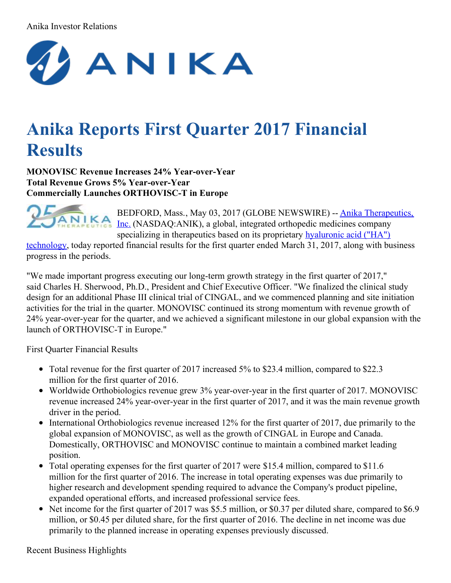#### Anika Investor Relations



# **Anika Reports First Quarter 2017 Financial Results**

**MONOVISC Revenue Increases 24% Year-over-Year Total Revenue Grows 5% Year-over-Year Commercially Launches ORTHOVISC-T in Europe**



BEDFORD, Mass., May 03, 2017 (GLOBE NEWSWIRE) -- Anika Therapeutics, Inc. [\(NASDAQ:ANIK\),](https://www.globenewswire.com/Tracker?data=8-gkCI2ATb9epzRMkHS8-QRhKml5PGt31mnyIRzQuzRC7usSNcwiMaJXeNbcVfvCc4EGgjA5X6b8iNIvHx9ZghNSAF9T6TChe9fzQy2H4NI=) a global, integrated orthopedic medicines company specializing in [therapeutics](https://www.globenewswire.com/Tracker?data=762hCC81OVnNvQDIVPfBXNH8J30GbPWEnMWsSJVw7gdL98kv5PFuVkDV5QLOHw9IjfIahktYotTYvgDviUTCAXoPlkI6BOdsur0oI_ZGOvPYxIAoOr3VbQ2emXfjYqUhvG_Yc70G7CN8ExWvqov9WixBu-vCEF1D1d5R3vuwaII=) based on its proprietary hyaluronic acid ("HA")

technology, today reported financial results for the first quarter ended March 31, 2017, along with business progress in the periods.

"We made important progress executing our long-term growth strategy in the first quarter of 2017," said Charles H. Sherwood, Ph.D., President and Chief Executive Officer. "We finalized the clinical study design for an additional Phase III clinical trial of CINGAL, and we commenced planning and site initiation activities for the trial in the quarter. MONOVISC continued its strong momentum with revenue growth of 24% year-over-year for the quarter, and we achieved a significant milestone in our global expansion with the launch of ORTHOVISC-T in Europe."

First Quarter Financial Results

- Total revenue for the first quarter of 2017 increased 5% to \$23.4 million, compared to \$22.3 million for the first quarter of 2016.
- Worldwide Orthobiologics revenue grew 3% year-over-year in the first quarter of 2017. MONOVISC revenue increased 24% year-over-year in the first quarter of 2017, and it was the main revenue growth driver in the period.
- International Orthobiologics revenue increased 12% for the first quarter of 2017, due primarily to the global expansion of MONOVISC, as well as the growth of CINGAL in Europe and Canada. Domestically, ORTHOVISC and MONOVISC continue to maintain a combined market leading position.
- Total operating expenses for the first quarter of 2017 were \$15.4 million, compared to \$11.6 million for the first quarter of 2016. The increase in total operating expenses was due primarily to higher research and development spending required to advance the Company's product pipeline, expanded operational efforts, and increased professional service fees.
- Net income for the first quarter of 2017 was \$5.5 million, or \$0.37 per diluted share, compared to \$6.9 million, or \$0.45 per diluted share, for the first quarter of 2016. The decline in net income was due primarily to the planned increase in operating expenses previously discussed.

Recent Business Highlights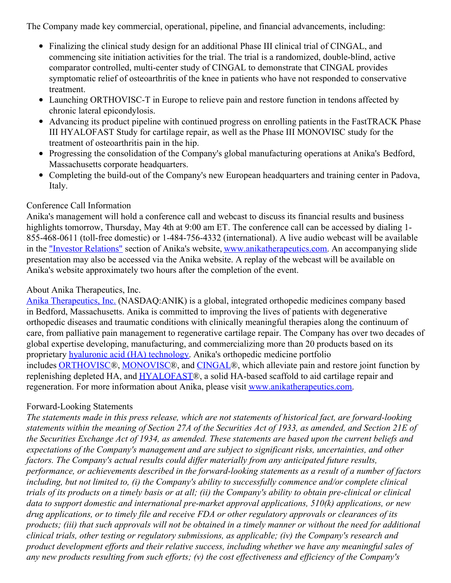The Company made key commercial, operational, pipeline, and financial advancements, including:

- Finalizing the clinical study design for an additional Phase III clinical trial of CINGAL, and commencing site initiation activities for the trial. The trial is a randomized, double-blind, active comparator controlled, multi-center study of CINGAL to demonstrate that CINGAL provides symptomatic relief of osteoarthritis of the knee in patients who have not responded to conservative treatment.
- Launching ORTHOVISC-T in Europe to relieve pain and restore function in tendons affected by chronic lateral epicondylosis.
- Advancing its product pipeline with continued progress on enrolling patients in the FastTRACK Phase III HYALOFAST Study for cartilage repair, as well as the Phase III MONOVISC study for the treatment of osteoarthritis pain in the hip.
- Progressing the consolidation of the Company's global manufacturing operations at Anika's Bedford, Massachusetts corporate headquarters.
- Completing the build-out of the Company's new European headquarters and training center in Padova, Italy.

#### Conference Call Information

Anika's management will hold a conference call and webcast to discuss its financial results and business highlights tomorrow, Thursday, May 4th at 9:00 am ET. The conference call can be accessed by dialing 1-855-468-0611 (toll-free domestic) or 1-484-756-4332 (international). A live audio webcast will be available in the "Investor [Relations"](https://www.globenewswire.com/Tracker?data=n6q1SnwY_jbE20pzSy5TJpHbMixD-OL1LDpMqyDuAIhooI6HTIt0YdvsHqRGVTrTqn71lny7Ks-2BGQo3SYY-zYeL9lFzp6FSjCcyNPtcD38Ami30oA97thW1BLO1BD7) section of Anika's website, [www.anikatherapeutics.com](https://www.globenewswire.com/Tracker?data=Chzk_s686YDzsRe-dqCDzRU0r2owYmUAWsLFBSMSdCebHN2e-BF-6GREHggRqBQ6X9ftNf546Yt9IRKnoTNZSe0kV0n9CYQaWvXk6mTu_IDa0TQJ7lzQ0VJz9btSm-w2). An accompanying slide presentation may also be accessed via the Anika website. A replay of the webcast will be available on Anika's website approximately two hours after the completion of the event.

#### About Anika Therapeutics, Inc.

Anika [Therapeutics,](https://www.globenewswire.com/Tracker?data=8-gkCI2ATb9epzRMkHS8-QRhKml5PGt31mnyIRzQuzTleZ9865-0YJvXwBZuG3DKEiwRWQ2dhUzIxPOgHVxmBqauh0w0sBW7eoFKgaOATpkRm2Ur2iQJnhr2g__qitVXbt0e5o2rXcNknppWscQvrJ2bF6pV1S5bZWl6f7s5Ee4uxSol5WSKbapA4PlRhNil8LbXSBvfd9FP46OhdHUtoIK4VgWR0LFKwCDrbXZ4e9Q-0f1ryTERE4iPH1yQvdjDL17JtICTDSAQ6CitdEbo-e3ZtkaAFH1vnZmYHwfm2GqEyT-LJD9myhtTDvA6rVt05pV_yDX_SacVFTDV_3Q3vhizsTXkX4Y3bxdEXdJZARY=) Inc. (NASDAQ:ANIK) is a global, integrated orthopedic medicines company based in Bedford, Massachusetts. Anika is committed to improving the lives of patients with degenerative orthopedic diseases and traumatic conditions with clinically meaningful therapies along the continuum of care, from palliative pain management to regenerative cartilage repair. The Company has over two decades of global expertise developing, manufacturing, and commercializing more than 20 products based on its proprietary hyaluronic acid (HA) [technology](https://www.globenewswire.com/Tracker?data=762hCC81OVnNvQDIVPfBXEZ71aOHnOssxoeYqwhhOe5bls73kWPkc3XEw3yJjg-T34jNWZOZVO7DoDZ7i1K8D9tpTsOLJgfszUjbAFpL1EPV-8J0SMtcRcw3REHrxQuJR7UivnUkUpwXN241hZmqRg==). Anika's orthopedic medicine portfolio includes [ORTHOVISC](https://www.globenewswire.com/Tracker?data=GVPcKrQambv_Z-3QrG5g9G_ccp4W5MV6EvlUOmKhnZ0w2b76nCak3cwk6Zr7PM3E9g2xjSiFS9uv5ggbFs9d2MEtJ1RaAKm_FaeveNgvosWrLK48mxzdNWB6X9uLMbWBKDIfLkeKOfSdjWrdE8fuGLoucZam4AVkOXAQzpi08WPzNE_VTBe-e_Ip3QdNmj-DU5pjnChf3LoTSTxB-Nnw6WVolN0tdlgPAZ-Suz-ckUD2Q9fuBJwrXQ81-lgcOlXWwKIvFfiDjoHWFEl4Swifa-EicFVl_dBMwldDz4LJBuOXfKf-0xATo6Gb8Zcfxw5RizHSac6qOANr9AKHIVyPKCKVHFms1nZgFc0cp_brzMNYrxBdp-vBcxl-DzwVSZOf)®, [MONOVISC](https://www.globenewswire.com/Tracker?data=vahZXcfxuO4Tvg_sIYz3MVIH0j3j6aaly71UG6UavoqeK9OmN3pP2Ntw1xZjv8aS_FEF4AZQdTY3Gie3_aQvZea2AcZVuCz92xhETQkDvGA7QA9feJfihg6lVXDd4p0y1h6cP6pSqp3kCgjFzOppQ7pO4OboCVIgliPiWKo1E-FST9z7arl7Sq-SOz4o7I_dVPnxWRJW4WFK9aev5fUK2gjt7nAcJ_cx43b2if6wy60hA0KdlQUDFlN5QUoIbEDSnJw2_XRoWYsjl9iPImIixxfH3HvFqq_9ycWiv9OxvKTRYCAjdscgQF-B-mCtAMmIaur3e1FyrQJsAke0ojaX45yS9TMyHKTGqCsd2_wmtkzK5uCNUAnBOhvOrg3mRnBz)®, and [CINGAL](https://www.globenewswire.com/Tracker?data=b8CKX7-LjWGY2RhXRSz07q6nOG9apbmejU4V-9XM3TYYUYb2Rn3s1I_9SujxjI7ViJCJMKV21sIyU47khyNp5w==)®, which alleviate pain and restore joint function by replenishing depleted HA, and [HYALOFAST®](https://www.globenewswire.com/Tracker?data=8rkr0DTqsBH0o-a8Cvl72ubEw2wsSgmp6ve8HjU9PpKwjJXi24CnRg0Vs56d1hlsXEa8ll2uTxgn5FrZBDB6ROUtsb92L01qzOLhgpOpcDg=), a solid HA-based scaffold to aid cartilage repair and regeneration. For more information about Anika, please visit [www.anikatherapeutics.com](https://www.globenewswire.com/Tracker?data=Chzk_s686YDzsRe-dqCDzRU0r2owYmUAWsLFBSMSdCcFN1Mjxzhi-1qeFs2c69Ntl-pLihT4JGF__tja-LucaiD9xS_fXZuYybERnDFF_rc=).

### Forward-Looking Statements

*The statements made in this press release, which are not statements of historical fact, are forward-looking* statements within the meaning of Section 27A of the Securities Act of 1933, as amended, and Section 21E of *the Securities Exchange Act of 1934, as amended. These statements are based upon the current beliefs and expectations of the Company's management and are subject to significant risks, uncertainties, and other factors. The Company's actual results could dif er materially from any anticipated future results, performance, or achievements described in the forward-looking statements as a result of a number of factors including, but not limited to, (i) the Company's ability to successfully commence and/or complete clinical* trials of its products on a timely basis or at all; (ii) the Company's ability to obtain pre-clinical or clinical *data to support domestic and international pre-market approval applications, 510(k) applications, or new drug applications, or to timely file and receive FDA or other regulatory approvals or clearances of its* products; (iii) that such approvals will not be obtained in a timely manner or without the need for additional *clinical trials, other testing or regulatory submissions, as applicable; (iv) the Company's research and product development ef orts and their relative success, including whether we have any meaningful sales of* any new products resulting from such efforts; (y) the cost effectiveness and efficiency of the Company's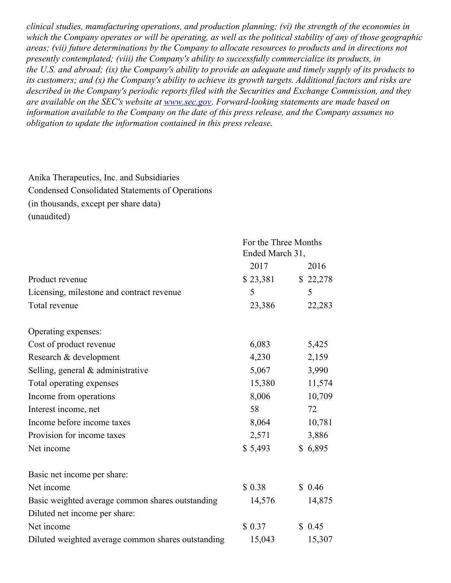*clinical studies, manufacturing operations, and production planning; (vi) the strength of the economies in* which the Company operates or will be operating, as well as the political stability of any of those geographic *areas; (vii) future determinations by the Company to allocate resources to products and in directions not presently contemplated; (viii) the Company's ability to successfully commercialize its products, in* the U.S. and abroad; (ix) the Company's ability to provide an adequate and timely supply of its products to its customers; and (x) the Company's ability to achieve its growth targets. Additional factors and risks are *described in the Company's periodic reports filed with the Securities and Exchange Commission, and they are available on the SEC's website at [www.sec.gov](https://www.globenewswire.com/Tracker?data=W7KQN-3xCkoJBX4qIL36JAEhWmPLxR5mP5J1RwPkbtHHYtaMpziUJw_TN1h4-efYMiiL4lza1uCREq7Uw0WDpg==). Forward-looking statements are made based on information available to the Company on the date of this press release, and the Company assumes no obligation to update the information contained in this press release.*

Anika Therapeutics, Inc. and Subsidiaries Condensed Consolidated Statements of Operations (in thousands, except per share data) (unaudited)

|                                                    | For the Three Months<br>Ended March 31, |          |  |
|----------------------------------------------------|-----------------------------------------|----------|--|
|                                                    |                                         |          |  |
|                                                    | 2017                                    | 2016     |  |
| Product revenue                                    | \$23,381                                | \$22,278 |  |
| Licensing, milestone and contract revenue          | 5                                       | 5        |  |
| Total revenue                                      | 23,386                                  | 22,283   |  |
| Operating expenses:                                |                                         |          |  |
| Cost of product revenue                            | 6,083                                   | 5,425    |  |
| Research & development                             | 4,230                                   | 2,159    |  |
| Selling, general & administrative                  | 5,067                                   | 3,990    |  |
| Total operating expenses                           | 15,380                                  | 11,574   |  |
| Income from operations                             | 8,006                                   | 10,709   |  |
| Interest income, net                               | 58                                      | 72       |  |
| Income before income taxes                         | 8,064                                   | 10,781   |  |
| Provision for income taxes                         | 2,571                                   | 3,886    |  |
| Net income                                         | \$5,493                                 | \$6,895  |  |
| Basic net income per share:                        |                                         |          |  |
| Net income                                         | \$0.38                                  | \$0.46   |  |
| Basic weighted average common shares outstanding   | 14,576                                  | 14,875   |  |
| Diluted net income per share:                      |                                         |          |  |
| Net income                                         | \$0.37                                  | \$0.45   |  |
| Diluted weighted average common shares outstanding | 15,043                                  | 15,307   |  |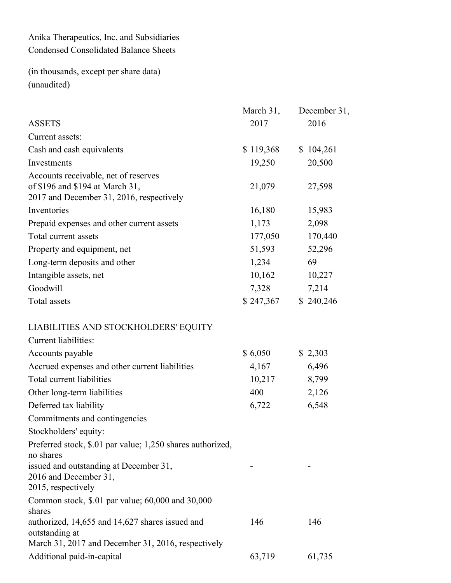Anika Therapeutics, Inc. and Subsidiaries Condensed Consolidated Balance Sheets

(in thousands, except per share data) (unaudited)

|                                                                         | March 31, | December 31, |
|-------------------------------------------------------------------------|-----------|--------------|
| <b>ASSETS</b>                                                           | 2017      | 2016         |
| Current assets:                                                         |           |              |
| Cash and cash equivalents                                               | \$119,368 | \$104,261    |
| Investments                                                             | 19,250    | 20,500       |
| Accounts receivable, net of reserves                                    |           |              |
| of \$196 and \$194 at March 31,                                         | 21,079    | 27,598       |
| 2017 and December 31, 2016, respectively                                |           |              |
| Inventories                                                             | 16,180    | 15,983       |
| Prepaid expenses and other current assets                               | 1,173     | 2,098        |
| Total current assets                                                    | 177,050   | 170,440      |
| Property and equipment, net                                             | 51,593    | 52,296       |
| Long-term deposits and other                                            | 1,234     | 69           |
| Intangible assets, net                                                  | 10,162    | 10,227       |
| Goodwill                                                                | 7,328     | 7,214        |
| Total assets                                                            | \$247,367 | \$240,246    |
| LIABILITIES AND STOCKHOLDERS' EQUITY                                    |           |              |
| <b>Current liabilities:</b>                                             |           |              |
| Accounts payable                                                        | \$6,050   | \$2,303      |
| Accrued expenses and other current liabilities                          | 4,167     | 6,496        |
| Total current liabilities                                               | 10,217    | 8,799        |
| Other long-term liabilities                                             | 400       | 2,126        |
| Deferred tax liability                                                  | 6,722     | 6,548        |
| Commitments and contingencies                                           |           |              |
| Stockholders' equity:                                                   |           |              |
| Preferred stock, \$.01 par value; 1,250 shares authorized,<br>no shares |           |              |
| issued and outstanding at December 31,                                  |           |              |
| 2016 and December 31,                                                   |           |              |
| 2015, respectively                                                      |           |              |
| Common stock, $$.01$ par value; $60,000$ and $30,000$<br>shares         |           |              |
| authorized, 14,655 and 14,627 shares issued and<br>outstanding at       | 146       | 146          |
| March 31, 2017 and December 31, 2016, respectively                      |           |              |
| Additional paid-in-capital                                              | 63,719    | 61,735       |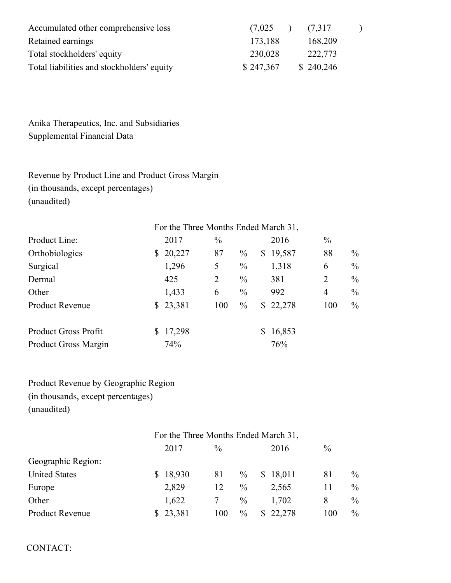| Accumulated other comprehensive loss       | (7,025)   | (7,317)   |  |
|--------------------------------------------|-----------|-----------|--|
| Retained earnings                          | 173,188   | 168,209   |  |
| Total stockholders' equity                 | 230,028   | 222,773   |  |
| Total liabilities and stockholders' equity | \$247,367 | \$240,246 |  |

Anika Therapeutics, Inc. and Subsidiaries Supplemental Financial Data

Revenue by Product Line and Product Gross Margin (in thousands, except percentages) (unaudited)

|                             | For the Three Months Ended March 31, |        |               |               |                |        |                |               |
|-----------------------------|--------------------------------------|--------|---------------|---------------|----------------|--------|----------------|---------------|
| Product Line:               |                                      | 2017   | $\frac{0}{0}$ |               |                | 2016   | $\frac{0}{0}$  |               |
| Orthobiologics              | S.                                   | 20,227 | 87            | $\frac{0}{0}$ | $\mathbb{S}^-$ | 19,587 | 88             | $\%$          |
| Surgical                    |                                      | 1,296  | 5             | $\frac{0}{0}$ |                | 1,318  | 6              | $\frac{0}{0}$ |
| Dermal                      |                                      | 425    | 2             | $\frac{0}{0}$ |                | 381    | 2              | $\frac{0}{0}$ |
| Other                       |                                      | 1,433  | 6             | $\frac{0}{0}$ |                | 992    | $\overline{4}$ | $\frac{0}{0}$ |
| <b>Product Revenue</b>      | S.                                   | 23,381 | 100           | $\frac{0}{0}$ | \$             | 22,278 | 100            | $\%$          |
| <b>Product Gross Profit</b> |                                      | 17,298 |               |               |                | 16,853 |                |               |
| <b>Product Gross Margin</b> |                                      | 74%    |               |               |                | 76%    |                |               |

# Product Revenue by Geographic Region (in thousands, except percentages) (unaudited)

|                        | For the Three Months Ended March 31, |        |               |               |    |          |               |               |
|------------------------|--------------------------------------|--------|---------------|---------------|----|----------|---------------|---------------|
|                        |                                      | 2017   | $\frac{0}{0}$ |               |    | 2016     | $\frac{0}{0}$ |               |
| Geographic Region:     |                                      |        |               |               |    |          |               |               |
| <b>United States</b>   | SS.                                  | 18,930 | 81            | $\%$          |    | \$18,011 | 81            | $\%$          |
| Europe                 |                                      | 2,829  | 12            | $\%$          |    | 2,565    | 11            | $\%$          |
| Other                  |                                      | 1,622  |               | $\%$          |    | 1,702    | 8             | $\%$          |
| <b>Product Revenue</b> |                                      | 23,381 | 100           | $\frac{0}{0}$ | S. | 22,278   | 100           | $\frac{0}{0}$ |

## CONTACT: